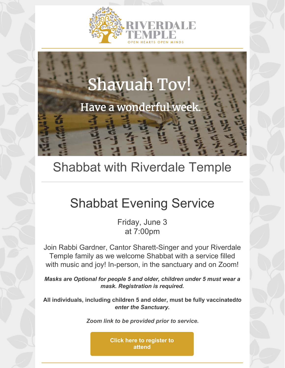



### Shabbat with Riverdale Temple

### Shabbat Evening Service

Friday, June 3 at 7:00pm

Join Rabbi Gardner, Cantor Sharett-Singer and your Riverdale Temple family as we welcome Shabbat with a service filled with music and joy! In-person, in the sanctuary and on Zoom!

*Masks are Optional for people 5 and older, children under 5 must wear a mask. Registration is required.*

**All individuals, including children 5 and older, must be fully vaccinated***to enter the Sanctuary.*

*Zoom link to be provided prior to service.*

**Click here to [register](https://docs.google.com/forms/d/e/1FAIpQLSePE4CKsXppD-BTGiFGQEi8Wt3KtbdpWfbVxRJHF9PpCmgrZw/viewform) to attend**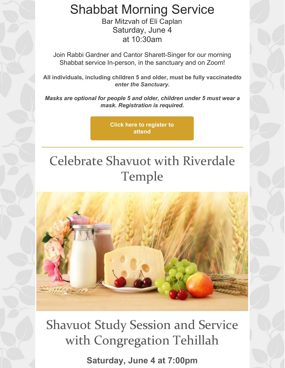Shabbat Morning Service

Bar Mitzvah of Eli Caplan Saturday, June 4 at 10:30am

Join Rabbi Gardner and Cantor Sharett-Singer for our morning Shabbat service In-person, in the sanctuary and on Zoom!

**All individuals, including children 5 and older, must be fully vaccinated***to enter the Sanctuary.*

*Masks are optional for people 5 and older, children under 5 must wear a mask. Registration is required.*

> **Click here to [register](https://docs.google.com/forms/d/e/1FAIpQLScTvkJ6X0rwgCF4KjgrOZo_SOzTyyPBfUDG7XaWZlu9iZzzCg/viewform) to attend**

# Celebrate Shavuot with Riverdale Temple



Shavuot Study Session and Service with Congregation Tehillah

**Saturday, June 4 at 7:00pm**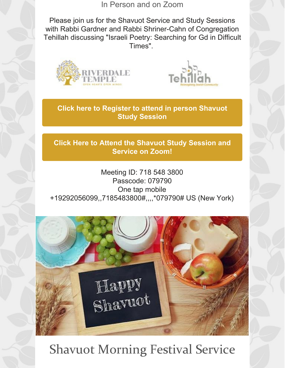In Person and on Zoom

Please join us for the Shavuot Service and Study Sessions with Rabbi Gardner and Rabbi Shriner-Cahn of Congregation Tehillah discussing "Israeli Poetry: Searching for Gd in Difficult Times".





**Click here to [Register](https://docs.google.com/forms/d/e/1FAIpQLSc2nHUxnWWjQtx3dxilC55UHy_qgOp2Q4KbDHHVtCkASXkGqg/viewform) to attend in person Shavuot Study Session**

**Click Here to Attend the [Shavuot](https://us02web.zoom.us/j/7185483800?pwd=VGI5R0V4RkE5dFErQ1hRMG1PZ0FZZz09) Study Session and Service on Zoom!**

Meeting ID: 718 548 3800 Passcode: 079790 One tap mobile +19292056099,,7185483800#,,,,\*079790# US (New York)



### Shavuot Morning Festival Service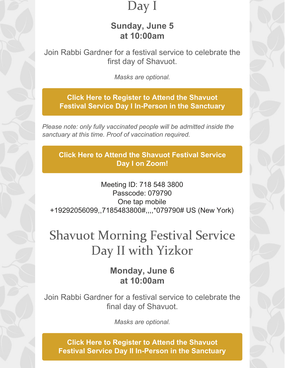### Day I

#### **Sunday, June 5 at 10:00am**

Join Rabbi Gardner for a festival service to celebrate the first day of Shavuot.

*Masks are optional.*

**Click Here to Register to Attend the Shavuot Festival Service Day I In-Person in the [Sanctuary](https://docs.google.com/forms/d/e/1FAIpQLScxDE35FJgPGAM-ZyVoLfK1z_gwt1wuxbbypLIGVeqLGbnVpg/viewform)**

*Please note: only fully vaccinated people will be admitted inside the sanctuary at this time. Proof of vaccination required.*

**Click Here to Attend the [Shavuot](https://us02web.zoom.us/j/7185483800?pwd=VGI5R0V4RkE5dFErQ1hRMG1PZ0FZZz09) Festival Service Day I on Zoom!**

Meeting ID: 718 548 3800 Passcode: 079790 One tap mobile +19292056099,,7185483800#,,,,\*079790# US (New York)

## Shavuot Morning Festival Service Day II with Yizkor

#### **Monday, June 6 at 10:00am**

Join Rabbi Gardner for a festival service to celebrate the final day of Shavuot.

*Masks are optional.*

**Click Here to Register to Attend the Shavuot Festival Service Day II In-Person in the [Sanctuary](https://docs.google.com/forms/d/e/1FAIpQLSekIZOsYtkOplE6tFfeabn6McNV1J-CH_4JgDLHPFQU58vIrg/viewform)**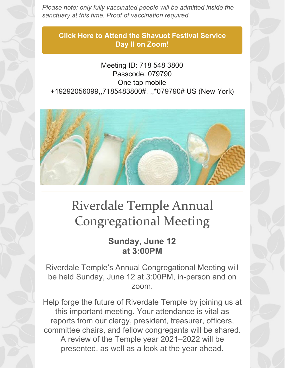*Please note: only fully vaccinated people will be admitted inside the sanctuary at this time. Proof of vaccination required.*

**Click Here to Attend the [Shavuot](https://us02web.zoom.us/j/7185483800?pwd=VGI5R0V4RkE5dFErQ1hRMG1PZ0FZZz09) Festival Service Day II on Zoom!**

Meeting ID: 718 548 3800 Passcode: 079790 One tap mobile +19292056099,,7185483800#,,,,\*079790# US (New York)



# Riverdale Temple Annual Congregational Meeting

#### **Sunday, June 12 at 3:00PM**

Riverdale Temple's Annual Congregational Meeting will be held Sunday, June 12 at 3:00PM, in-person and on zoom.

Help forge the future of Riverdale Temple by joining us at this important meeting. Your attendance is vital as reports from our clergy, president, treasurer, officers, committee chairs, and fellow congregants will be shared. A review of the Temple year 2021–2022 will be presented, as well as a look at the year ahead.